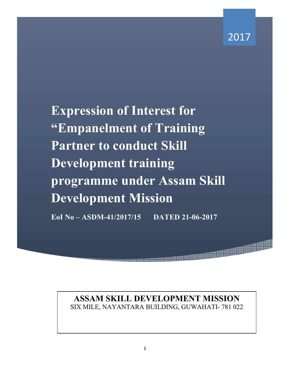1999 - 1999 - 1999 - 1999 - 1999 - 1999 - 1999 - 1999 - 1999 - 1999 - 1999 - 1999 - 1999 - 1999 - 1999 - 1999<br>1999 - 1999 - 1999 - 1999 - 1999 - 1999 - 1999 - 1999 - 1999 - 1999 - 1999 - 1999 - 1999 - 1999 - 1999 - 1999

**Expression of Interest for "Empanelment of Training Partner to conduct Skill Development training programme under Assam Skill Development Mission** 

**EoI No – ASDM-41/2017/15 DATED 21-06-2017** 

**ASSAM SKILL DEVELOPMENT MISSION**  SIX MILE, NAYANTARA BUILDING, GUWAHATI- 781 022

a ay ara-daharampehinta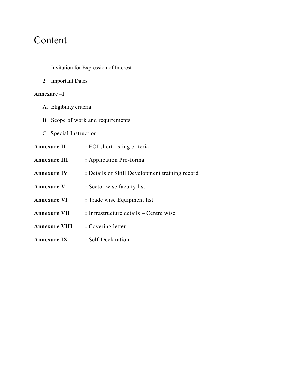# Content

- 1. Invitation for Expression of Interest
- 2. Important Dates

#### **Annexure –I**

- A. Eligibility criteria
- B. Scope of work and requirements
- C. Special Instruction
- Annexure II : EOI short listing criteria **Annexure III :** Application Pro-forma Annexure IV : Details of Skill Development training record **Annexure V** : Sector wise faculty list **Annexure VI** : Trade wise Equipment list **Annexure VII :** Infrastructure details – Centre wise **Annexure VIII :** Covering letter **Annexure IX :** Self-Declaration

2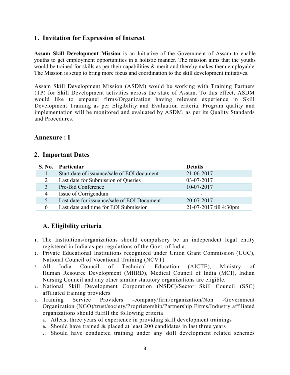### **1. Invitation for Expression of Interest**

**Assam Skill Development Mission** is an Initiative of the Government of Assam to enable youths to get employment opportunities in a holistic manner. The mission aims that the youths would be trained for skills as per their capabilities  $\&$  merit and thereby makes them employable. The Mission is setup to bring more focus and coordination to the skill development initiatives.

Assam Skill Development Mission (ASDM) would be working with Training Partners (TP) for Skill Development activities across the state of Assam. To this effect, ASDM would like to empanel firms/Organization having relevant experience in Skill Development Training as per Eligibility and Evaluation criteria. Program quality and implementation will be monitored and evaluated by ASDM, as per its Quality Standards and Procedures.

#### **Annexure : I**

#### **2. Important Dates**

| <b>S. No.</b>        | Particular                                  | <b>Details</b>         |
|----------------------|---------------------------------------------|------------------------|
|                      | Start date of issuance/sale of EOI document | 21-06-2017             |
|                      | Last date for Submission of Queries         | 03-07-2017             |
|                      | Pre-Bid Conference                          | 10-07-2017             |
| 4                    | Issue of Corrigendum                        |                        |
| $\ddot{\phantom{1}}$ | Last date for issuance/sale of EOI Document | 20-07-2017             |
| h                    | Last date and time for EOI Submission       | 21-07-2017 till 4:30pm |

### **A. Eligibility criteria**

- **1.** The Institutions/organizations should compulsory be an independent legal entity registered in India as per regulations of the Govt, of India.
- **2.** Private Educational Institutions recognized under Union Grant Commission (UGC), National Council of Vocational Training (NCVT)
- **3.** All India Council of Technical Education (AICTE), Ministry of Human Resource Development (MHRD), Medical Council of India (MCI), Indian Nursing Council and any other similar statutory organizations are eligible.
- **4.** National Skill Development Corporation (NSDC)/Sector Skill Council (SSC) affiliated training providers
- **5.** Training Service Providers -company/firm/organization/Non -Government Organization (NGO)/trust/society/Proprietorship/Partnership Firms/Industry affiliated organizations should fulfill the following criteria
	- **a.** Atleast three years of experience in providing skill development trainings
	- **b.** Should have trained & placed at least 200 candidates in last three years
	- **c.** Should have conducted training under any skill development related schemes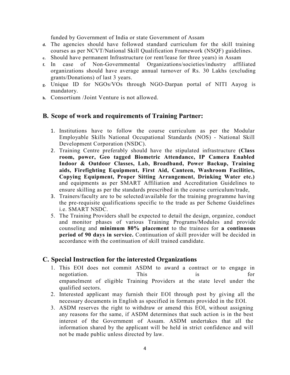funded by Government of India or state Government of Assam

- **d.** The agencies should have followed standard curriculum for the skill training courses as per NCVT/National Skill Qualification Framework (NSQF) guidelines.
- **e.** Should have permanent Infrastructure (or rent/lease for three years) in Assam
- **f.** In case of Non-Governmental Organizations/societies/industry affiliated organizations should have average annual turnover of Rs. 30 Lakhs (excluding grants/Donations) of last 3 years.
- **g.** Unique ID for NGOs/VOs through NGO-Darpan portal of NITI Aayog is mandatory.
- **h.** Consortium /Joint Venture is not allowed.

#### **B. Scope of work and requirements of Training Partner:**

- 1. Institutions have to follow the course curriculum as per the Modular Employable Skills National Occupational Standards (NOS) - National Skill Development Corporation (NSDC).
- 2. Training Centre preferably should have the stipulated infrastructure **(Class room, power, Geo tagged Biometric Attendance, IP Camera Enabled Indoor & Outdoor Classes, Lab, Broadband, Power Backup, Training aids, Firefighting Equipment, First Aid, Canteen, Washroom Facilities, Copying Equipment, Proper Sitting Arrangement, Drinking Water etc.)** and equipments as per SMART Affiliation and Accreditation Guidelines to ensure skilling as per the standards prescribed in the course curriculum/trade,
- 3. Trainers/faculty are to be selected/available for the training programme having the pre-requisite qualifications specific to the trade as per Scheme Guidelines i.e. SMART NSDC
- 5. The Training Providers shall be expected to detail the design, organize, conduct and monitor phases of various Training Programs/Modules and provide counseling and **minimum 80% placement** to the trainees for **a continuous period of 90 days in service.** Continuation of skill provider will be decided in accordance with the continuation of skill trained candidate.

#### **C. Special Instruction for the interested Organizations**

- 1. This EOI does not commit ASDM to award a contract or to engage in negotiation. This is for empanelment of eligible Training Providers at the state level under the qualified sectors.
- 2. Interested applicant may furnish their EOI through post by giving all the necessary documents in English as specified in formats provided in the EOI.
- 3. ASDM reserves the right to withdraw or amend this EOI, without assigning any reasons for the same, if ASDM determines that such action is in the best interest of the Government of Assam. ASDM undertakes that all the information shared by the applicant will be held in strict confidence and will not be made public unless directed by law.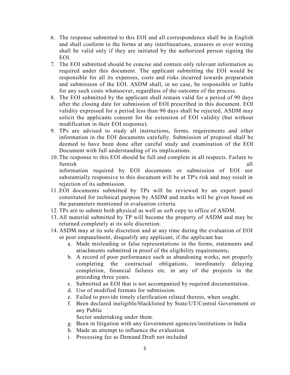- 6. The response submitted to this EOI and all correspondence shall be in English and shall conform to the forms at any interlineations, erasures or over writing shall be valid only if they are initiated by the authorized person signing the EOI.
- 7. The EOI submitted should be concise and contain only relevant information as required under this document. The applicant submitting the EOI would be responsible for all its expenses, costs and risks incurred towards preparation and submission of the EOI. ASDM shall, in no case, be responsible or liable for any such costs whatsoever, regardless of the outcome of the process.
- 8. The EOI submitted by the applicant shall remain valid for a period of 90 days after the closing date for submission of EOI prescribed in this document. EOI validity expressed for a period less than 90 days shall be rejected. ASDM may solicit the applicants consent for the extension of EOI validity (but without modification in their EOI response).
- 9. TPs are advised to study all instructions, forms, requirements and other information in the EOI documents carefully. Submission of proposal shall be deemed to have been done after careful study and examination of the EOI Document with full understanding of its implications.
- 10. The response to this EOI should be full and complete in all respects. Failure to furnish all information required by EOI documents or submission of EOI not substantially responsive to this document will be at TP's risk and may result in rejection of its submission.
- 11. EOI documents submitted by TPs will be reviewed by an expert panel constituted for technical purpose by ASDM and marks will be given based on the parameters mentioned in evaluation criteria.
- 12. TPs are to submit both physical as well as soft copy to office of ASDM.
- 13. All material submitted by TP will become the property of ASDM and may be returned completely at its sole discretion.
- 14. ASDM may at its sole discretion and at any time during the evaluation of EOI or post empanelment, disqualify any applicant, if the applicant has
	- a. Made misleading or false representations in the forms, statements and attachments submitted in proof of the eligibility requirements;
	- b. A record of poor performance such as abandoning works, not properly completing the contractual obligations, inordinately delaying completion, financial failures etc. in any of the projects in the preceding three years.
	- c. Submitted an EOI that is not accompanied by required documentation.
	- d. Use of modified formats for submission.
	- e. Failed to provide timely clarification related thereto, when sought.
	- f. Been declared ineligible/blacklisted by State/UT/Central Government or any Public

Sector undertaking under them.

- g. Been in litigation with any Government agencies/institutions in India
- h. Made an attempt to influence the evaluation
- i. Processing fee as Demand Draft not included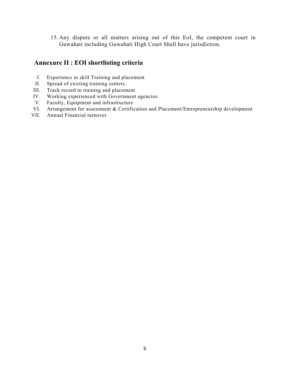15. Any dispute or all matters arising out of this EoI, the competent court in Guwahati including Guwahati High Court Shall have jurisdiction.

### **Annexure II : EOI shortlisting criteria**

- I. Experience in skill Training and placement
- II. Spread of existing training centers.
- III. Track record in training and placement
- IV. Working experienced with Government agencies.
- V. Faculty, Equipment and infrastructure
- VI. Arrangement for assessment & Certification and Placement/Entrepreneurship development
- Annual Financial turnover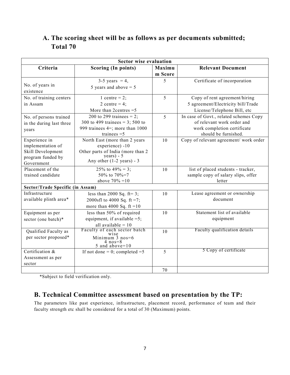## **A. The scoring sheet will be as follows as per documents submitted; Total 70**

|                                  | <b>Sector wise evaluation</b>                     |         |                                        |
|----------------------------------|---------------------------------------------------|---------|----------------------------------------|
| Criteria                         | <b>Scoring (In points)</b>                        | Maximu  | <b>Relevant Document</b>               |
|                                  |                                                   | m Score |                                        |
|                                  | 3-5 years = 4,                                    | 5       | Certificate of incorporation           |
| No. of years in                  | 5 years and above $=$ 5                           |         |                                        |
| existence                        |                                                   |         |                                        |
| No. of training centers          | 1 centre = $2$ ;                                  | 5       | Copy of rent agreement/hiring          |
| in Assam                         | 2 centre = $4$ ;                                  |         | 5 agreement/Electricity bill/Trade     |
|                                  | More than 2 centres $=$ 5                         |         | License/Telephone Bill, etc            |
| No. of persons trained           | 200 to 299 trainees = 2;                          | 5       | In case of Govt., related schemes Copy |
| in the during last three         | 300 to 499 trainees = 3; 500 to                   |         | of relevant work order and             |
| years                            | 999 trainees $4=$ ; more than 1000                |         | work completion certificate            |
|                                  | trainees $=5$                                     |         | should be furnished.                   |
| Experience in                    | North East (more than 2 years                     | 10      | Copy of relevant agreement/ work order |
| implementation of                | experience) -10                                   |         |                                        |
| Skill Development                | Other parts of India (more than 2<br>$years) - 5$ |         |                                        |
| program funded by                | Any other $(1-2 \text{ years}) - 3$               |         |                                        |
| Government                       |                                                   |         |                                        |
| Placement of the                 | 25% to 49% = 3;                                   | 10      | list of placed students - tracker,     |
| trained candidate                | 50% to 70%=7                                      |         | sample copy of salary slips, offer     |
|                                  | above $70\% = 10$                                 |         | letter                                 |
| Sector/Trade Specific (in Assam) |                                                   |         |                                        |
| Infrastructure                   | less than 2000 Sq. ft= $3$ ;                      | 10      | Lease agreement or ownership           |
| available plinth area*           | 2000sfl to 4000 Sq. ft =7;                        |         | document                               |
|                                  | more than 4000 Sq. ft = $10$                      |         |                                        |
| Equipment as per                 | less than 50% of required                         | 10      | Statement list of available            |
| sector (one batch)*              | equipment, if available $=5$ ;                    |         | equipment                              |
|                                  | all available $= 10$                              |         |                                        |
| Qualified Faculty as             | Faculty of each sector batch                      | 10      | Faculty qualification details          |
| per sector proposed*             | Minimum $3$ nos= $6$                              |         |                                        |
|                                  | $4 \text{ nos} = 8$<br>5 and above= $10$          |         |                                        |
| Certification &                  | If not done = 0; completed = $5$                  | 5       | 5 Copy of certificate                  |
| Assessment as per                |                                                   |         |                                        |
| sector                           |                                                   |         |                                        |
|                                  |                                                   | 70      |                                        |

\*Subject to field verification only.

#### **B. Technical Committee assessment based on presentation by the TP:**

The parameters like past experience, infrastructure, placement record, performance of team and their faculty strength etc shall be considered for a total of 30 (Maximum) points.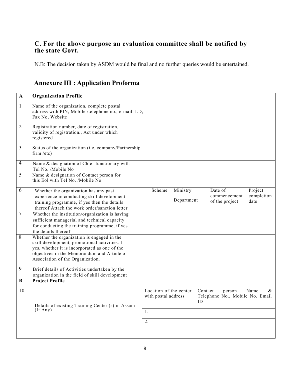### **C. For the above purpose an evaluation committee shall be notified by the state Govt.**

N.B: The decision taken by ASDM would be final and no further queries would be entertained.

## **Annexure III : Application Proforma**

| $\mathbf{A}$   | <b>Organization Profile</b>                                                                                                                                                                                                     |    |                     |                        |               |                                           |                               |
|----------------|---------------------------------------------------------------------------------------------------------------------------------------------------------------------------------------------------------------------------------|----|---------------------|------------------------|---------------|-------------------------------------------|-------------------------------|
| $\mathbf{1}$   | Name of the organization, complete postal<br>address with PIN, Mobile /telephone no., e-mail. I.D,<br>Fax No, Website                                                                                                           |    |                     |                        |               |                                           |                               |
| $\overline{2}$ | Registration number, date of registration,<br>validity of registration., Act under which<br>registered                                                                                                                          |    |                     |                        |               |                                           |                               |
| 3              | Status of the organization (i.e. company/Partnership<br>firm /etc)                                                                                                                                                              |    |                     |                        |               |                                           |                               |
| $\overline{4}$ | Name & designation of Chief functionary with<br>Tel No. /Mobile No                                                                                                                                                              |    |                     |                        |               |                                           |                               |
| 5              | Name & designation of Contact person for<br>this Eol with Tel No. /Mobile No                                                                                                                                                    |    |                     |                        |               |                                           |                               |
| 6              | Whether the organization has any past<br>experience in conducting skill development<br>training programme, if yes then the details<br>thereof Attach the work order/sanction letter                                             |    | Scheme              | Ministry<br>Department |               | Date of<br>commencement<br>of the project | Project<br>completion<br>date |
| $\overline{7}$ | Whether the institution/organization is having<br>sufficient managerial and technical capacity<br>for conducting the training programme, if yes<br>the details thereof                                                          |    |                     |                        |               |                                           |                               |
| 8              | Whether the organization is engaged in the<br>skill development, promotional activities. If<br>yes, whether it is incorporated as one of the<br>objectives in the Memorandum and Article of<br>Association of the Organization. |    |                     |                        |               |                                           |                               |
| $\overline{9}$ | Brief details of Activities undertaken by the<br>organization in the field of skill development                                                                                                                                 |    |                     |                        |               |                                           |                               |
| B              | <b>Project Profile</b>                                                                                                                                                                                                          |    |                     |                        |               |                                           |                               |
| 10             | Details of existing Training Center (s) in Assam                                                                                                                                                                                |    | with postal address | Location of the center | Contact<br>ID | person<br>Telephone No., Mobile No. Email | Name<br>&                     |
|                | $($ If Any $)$                                                                                                                                                                                                                  | 1. |                     |                        |               |                                           |                               |
|                |                                                                                                                                                                                                                                 | 2. |                     |                        |               |                                           |                               |
|                |                                                                                                                                                                                                                                 |    |                     |                        |               |                                           |                               |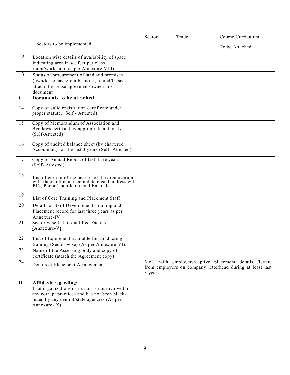| 11.             |                                                                                          | Sector  | Trade | Course Curriculum                                         |
|-----------------|------------------------------------------------------------------------------------------|---------|-------|-----------------------------------------------------------|
|                 | Sectors to be implemented                                                                |         |       | To be Attached                                            |
| 12              | Location wise details of availability of space                                           |         |       |                                                           |
|                 | indicating area in sq. feet per class                                                    |         |       |                                                           |
|                 | room/workshop (as per Annexure-VI I)                                                     |         |       |                                                           |
| 13              | Status of procurement of land and premises                                               |         |       |                                                           |
|                 | (own/lease basis/rent basis) if, rented/leased                                           |         |       |                                                           |
|                 | attach the Lease agreement/ownership                                                     |         |       |                                                           |
| $\mathbf C$     | document<br>Documents to be attached                                                     |         |       |                                                           |
|                 |                                                                                          |         |       |                                                           |
| 14              | Copy of valid registration certificate under                                             |         |       |                                                           |
|                 | proper statute. (Self - Attested)                                                        |         |       |                                                           |
| 15              | Copy of Memorandum of Association and                                                    |         |       |                                                           |
|                 | Bye laws certified by appropriate authority.                                             |         |       |                                                           |
|                 | (Self-Attested)                                                                          |         |       |                                                           |
| 16              | Copy of audited balance sheet (by chartered                                              |         |       |                                                           |
|                 | Accountant) for the last 3 years (Self-Attested)                                         |         |       |                                                           |
| 17              | Copy of Annual Report of last three years                                                |         |       |                                                           |
|                 | (Self-Attested)                                                                          |         |       |                                                           |
|                 |                                                                                          |         |       |                                                           |
| 18              | List of current office hearers of the organization                                       |         |       |                                                           |
|                 | with their full name complete postal address with<br>PIN, Phone/ mobile no. and Email-Id |         |       |                                                           |
|                 |                                                                                          |         |       |                                                           |
| 19              | List of Core Training and Placement Staff                                                |         |       |                                                           |
| 20              | Details of Skill Development Training and                                                |         |       |                                                           |
|                 | Placement record for last three years as per                                             |         |       |                                                           |
|                 | Annexure-IV                                                                              |         |       |                                                           |
| 21              | Sector wise list of qualified Faculty                                                    |         |       |                                                           |
|                 | $(Annexure-V)$                                                                           |         |       |                                                           |
| 22              | List of Equipment available for conducting                                               |         |       |                                                           |
|                 | training (Sector wise) (As per Annexure-VI).                                             |         |       |                                                           |
| $\overline{23}$ | Name of the Assessing body and copy of                                                   |         |       |                                                           |
| 24              | certificate (attach the Agreement copy)                                                  |         |       | MoU with employers/captive placement details /letters     |
|                 | Details of Placement Arrangement                                                         |         |       | from employers on company letterhead during at least last |
|                 |                                                                                          | 3 years |       |                                                           |
| $\mathbf{D}$    | Affidavit regarding:                                                                     |         |       |                                                           |
|                 | That organization/institution is not involved in                                         |         |       |                                                           |
|                 | any corrupt practices and has not been black-                                            |         |       |                                                           |
|                 | listed by any central/state agencies (As per                                             |         |       |                                                           |
|                 | Annexure-IX)                                                                             |         |       |                                                           |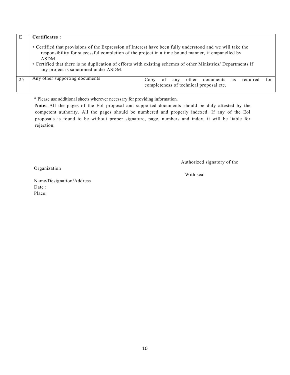| Е  | Certificates:                                                                                                                                                                                                                                                   |                                                                                                               |
|----|-----------------------------------------------------------------------------------------------------------------------------------------------------------------------------------------------------------------------------------------------------------------|---------------------------------------------------------------------------------------------------------------|
|    | • Certified that provisions of the Expression of Interest have been fully understood and we will take the<br>responsibility for successful completion of the project in a time bound manner, if empanelled by<br>ASDM.<br>any project is sanctioned under ASDM. | • Certified that there is no duplication of efforts with existing schemes of other Ministries/ Departments if |
| 25 | Any other supporting documents                                                                                                                                                                                                                                  | other<br>documents<br>required<br>0Ť<br>for<br>any<br>Copy<br>as<br>completeness of technical proposal etc.   |

\* Please use additional sheets wherever necessary for providing information.

**Note:** All the pages of the EoI proposal and supported documents should be duly attested by the competent authority. All the pages should be numbered and properly indexed. If any of the Eol proposals is found to be without proper signature, page, numbers and index, it will be liable for rejection.

Authorized signatory of the

Organization

With seal

Name/Designation/Address Date : Place: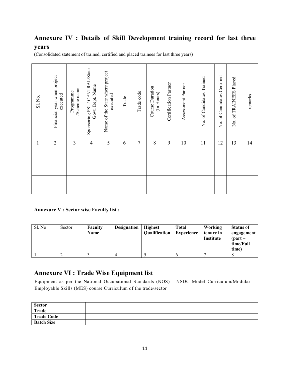# **Annexure IV : Details of Skill Development training record for last three**

### **years**

(Consolidated statement of trained, certified and placed trainees for last three years)

| Sl. No.       | Financial year when project<br>executed                                                                                                                                                                       | Scheme name<br>Programme | Sponsoring PSU/ CENTRAL/State<br>Govt. Dept. Name | Name of the State where project<br>executed | Trade       | Trade code     | Course Duration<br>(In Hours)   | Certification Partner | Assessment Partner                | No. of Candidates Trained         | No. of Candidates Certified | No. of TRAINEES Placed                                   | remarks    |
|---------------|---------------------------------------------------------------------------------------------------------------------------------------------------------------------------------------------------------------|--------------------------|---------------------------------------------------|---------------------------------------------|-------------|----------------|---------------------------------|-----------------------|-----------------------------------|-----------------------------------|-----------------------------|----------------------------------------------------------|------------|
| $\mathbf{1}$  | $\overline{2}$                                                                                                                                                                                                | $\overline{\mathbf{3}}$  | $\overline{4}$                                    | 5                                           | 6           | $\tau$         | $8\,$                           | 9                     | 10                                | 11                                | 12                          | 13                                                       | 14         |
|               |                                                                                                                                                                                                               |                          |                                                   |                                             |             |                |                                 |                       |                                   |                                   |                             |                                                          |            |
|               |                                                                                                                                                                                                               |                          |                                                   |                                             |             |                |                                 |                       |                                   |                                   |                             |                                                          |            |
|               | <b>Annexure V: Sector wise Faculty list:</b>                                                                                                                                                                  |                          |                                                   |                                             |             |                |                                 |                       |                                   |                                   |                             |                                                          |            |
| Sl. No        |                                                                                                                                                                                                               | Sector                   | Faculty<br><b>Name</b>                            |                                             | Designation |                | <b>Highest</b><br>Qualification |                       | <b>Total</b><br><b>Experience</b> | Working<br>tenure in<br>Institute |                             | <b>Status of</b><br>${\rm (part-}$<br>time/Full<br>time) | engagement |
| $\,1$         | $\overline{2}$                                                                                                                                                                                                |                          | $\overline{3}$                                    | $\overline{4}$                              |             | $\overline{5}$ |                                 |                       | $\overline{6}$                    | $\overline{7}$                    |                             | $\overline{8}$                                           |            |
|               | <b>Annexure VI : Trade Wise Equipment list</b><br>Equipment as per the National Occupational Standards (NOS) - NSDC Model Curriculum/Modular<br>Employable Skills (MES) course Curriculum of the trade/sector |                          |                                                   |                                             |             |                |                                 |                       |                                   |                                   |                             |                                                          |            |
| <b>Sector</b> |                                                                                                                                                                                                               |                          |                                                   |                                             |             |                |                                 |                       |                                   |                                   |                             |                                                          |            |
| <b>Trade</b>  | <b>Trade Code</b>                                                                                                                                                                                             |                          |                                                   |                                             |             |                |                                 |                       |                                   |                                   |                             |                                                          |            |
|               | <b>Batch Size</b>                                                                                                                                                                                             |                          |                                                   |                                             |             |                |                                 |                       |                                   |                                   |                             |                                                          |            |

#### **Annexure V : Sector wise Faculty list :**

| Sl. No | Sector | Faculty<br>Name | <b>Designation</b> | <b>Highest</b><br>Qualification | <b>Total</b><br><b>Experience</b> | Working<br>tenure in<br>Institute | <b>Status of</b><br>engagement<br>${\rm (part-}$<br>time/Full<br>time) |
|--------|--------|-----------------|--------------------|---------------------------------|-----------------------------------|-----------------------------------|------------------------------------------------------------------------|
|        |        |                 |                    |                                 |                                   |                                   |                                                                        |

## **Annexure VI : Trade Wise Equipment list**

| Sector            |  |
|-------------------|--|
| Trade             |  |
| Trade Code        |  |
| <b>Batch Size</b> |  |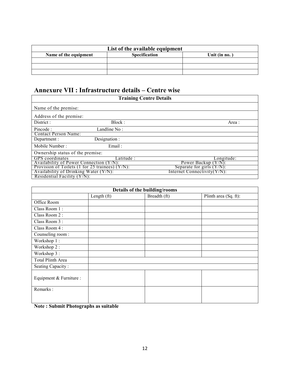| List of the available equipment |                      |               |  |  |
|---------------------------------|----------------------|---------------|--|--|
| Name of the equipment           | <b>Specification</b> | Unit (in no.) |  |  |
|                                 |                      |               |  |  |
|                                 |                      |               |  |  |
|                                 |                      |               |  |  |

# **Annexure VII : Infrastructure details – Centre wise**

| <b>Training Centre Details</b>        |                                                                                                    |                             |  |  |  |
|---------------------------------------|----------------------------------------------------------------------------------------------------|-----------------------------|--|--|--|
| Name of the premise:                  |                                                                                                    |                             |  |  |  |
| Address of the premise:               |                                                                                                    |                             |  |  |  |
| District :                            | Block:                                                                                             | Area :                      |  |  |  |
| Pincode:                              | Landline No:                                                                                       |                             |  |  |  |
| <b>Contact Person Name:</b>           |                                                                                                    |                             |  |  |  |
| Department :                          | Designation :                                                                                      |                             |  |  |  |
| Mobile Number:                        | Email:                                                                                             |                             |  |  |  |
| Ownership status of the premise:      |                                                                                                    |                             |  |  |  |
| <b>GPS</b> coordinates                | Latitude :                                                                                         | Longitude:                  |  |  |  |
|                                       | Availability of Power Connection $(Y/N)$ :<br>Power Backup $(Y/N)$ :                               |                             |  |  |  |
|                                       | Provision of Toilets $(1 \text{ for } 25 \text{ traines}) (Y/N)$ :<br>Separate for girls $(Y/N)$ : |                             |  |  |  |
| Availability of Drinking Water (Y/N): |                                                                                                    | Internet Connectivity(Y/N): |  |  |  |
| Residential Facility $(Y/N)$ :        |                                                                                                    |                             |  |  |  |

| Details of the building/rooms |             |              |                       |  |  |
|-------------------------------|-------------|--------------|-----------------------|--|--|
|                               | Length (ft) | Breadth (ft) | Plinth area (Sq. ft): |  |  |
| Office Room                   |             |              |                       |  |  |
| Class Room 1:                 |             |              |                       |  |  |
| Class Room 2:                 |             |              |                       |  |  |
| Class Room 3:                 |             |              |                       |  |  |
| Class Room 4:                 |             |              |                       |  |  |
| Counseling room:              |             |              |                       |  |  |
| Workshop 1:                   |             |              |                       |  |  |
| Workshop 2:                   |             |              |                       |  |  |
| Workshop 3:                   |             |              |                       |  |  |
| Total Plinth Area             |             |              |                       |  |  |
| Seating Capacity:             |             |              |                       |  |  |
| Equipment & Furniture :       |             |              |                       |  |  |
| Remarks:                      |             |              |                       |  |  |

**Note : Submit Photographs as suitable**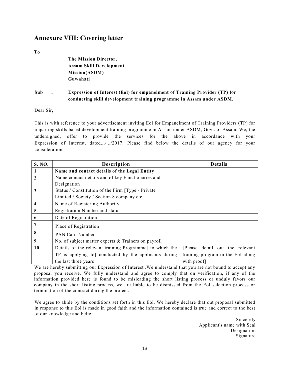#### **Annexure VIII: Covering letter**

**To** 

| The Mission Director,          |
|--------------------------------|
| <b>Assam Skill Development</b> |
| Mission(ASDM)                  |
| Guwahati                       |

#### **Sub : Expression of Interest (Eol) for empanelment of Training Provider (TP) for conducting skill development training programme in Assam under ASDM.**

Dear Sir,

This is with reference to your advertisement inviting Eol for Empanelment of Training Providers (TP) for imparting skills based development training programme in Assam under ASDM, Govt. of Assam. We, the undersigned, offer to provide the services for the above in accordance with your Expression of Interest, dated.../.../2017. Please find below the details of our agency for your consideration.

| S. NO. | <b>Description</b>                                      | <b>Details</b>                    |
|--------|---------------------------------------------------------|-----------------------------------|
|        | Name and contact details of the Legal Entity            |                                   |
| 2      | Name contact details and of key Functionaries and       |                                   |
|        | Designation                                             |                                   |
| 3      | Status / Constitution of the Firm [Type - Private]      |                                   |
|        | Limited / Society / Section 8 company etc.              |                                   |
| 4      | Name of Registering Authority                           |                                   |
| 5      | Registration Number and status                          |                                   |
| 6      | Date of Registration                                    |                                   |
| 7      | Place of Registration                                   |                                   |
| 8      | <b>PAN Card Number</b>                                  |                                   |
| 9      | No. of subject matter experts & Trainers on payroll     |                                   |
| 10     | Details of the relevant training Programme to which the | [Please detail out the relevant   |
|        | TP is applying to] conducted by the applicants during   | training program in the EoI along |
|        | the last three years                                    | with proof                        |

We are hereby submitting our Expression of Interest. We understand that you are not bound to accept any proposal you receive. We fully understand and agree to comply that on verification, if any of the information provided here is found to be misleading the short listing process or unduly favors our company in the short listing process, we are liable to be dismissed from the Eol selection process or termination of the contract during the project.

We agree to abide by the conditions set forth in this Eol. We hereby declare that out proposal submitted in response to this Eol is made in good faith and the information contained is true and correct to the best of our knowledge and belief.

> Sincerely Applicant's name with Seal Designation Signature